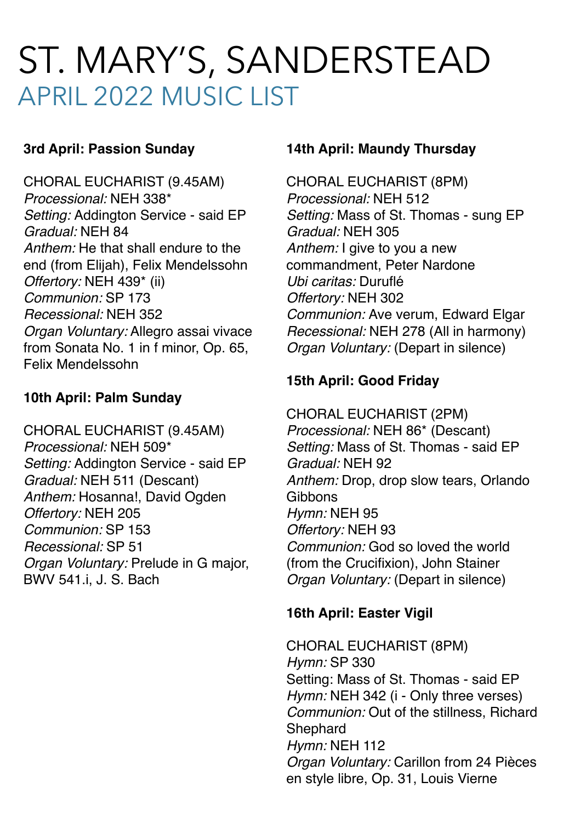# ST. MARY'S, SANDERSTEAD APRIL 2022 MUSIC LIST

## **3rd April: Passion Sunday**

CHORAL EUCHARIST (9.45AM) *Processional:* NEH 338\* *Setting:* Addington Service - said EP *Gradual:* NEH 84 *Anthem:* He that shall endure to the end (from Elijah), Felix Mendelssohn *Offertory:* NEH 439\* (ii) *Communion:* SP 173 *Recessional:* NEH 352 *Organ Voluntary:* Allegro assai vivace from Sonata No. 1 in f minor, Op. 65, Felix Mendelssohn

## **10th April: Palm Sunday**

CHORAL EUCHARIST (9.45AM) *Processional:* NEH 509\* *Setting:* Addington Service - said EP *Gradual:* NEH 511 (Descant) *Anthem:* Hosanna!, David Ogden *Offertory:* NEH 205 *Communion:* SP 153 *Recessional:* SP 51 *Organ Voluntary:* Prelude in G major, BWV 541.i, J. S. Bach

### **14th April: Maundy Thursday**

CHORAL EUCHARIST (8PM) *Processional:* NEH 512 *Setting:* Mass of St. Thomas - sung EP *Gradual:* NEH 305 *Anthem:* I give to you a new commandment, Peter Nardone *Ubi caritas:* Duruflé *Offertory:* NEH 302 *Communion:* Ave verum, Edward Elgar *Recessional:* NEH 278 (All in harmony) *Organ Voluntary:* (Depart in silence)

# **15th April: Good Friday**

CHORAL EUCHARIST (2PM) *Processional:* NEH 86\* (Descant) *Setting:* Mass of St. Thomas - said EP *Gradual:* NEH 92 *Anthem:* Drop, drop slow tears, Orlando Gibbons *Hymn:* NEH 95 *Offertory:* NEH 93 *Communion:* God so loved the world (from the Crucifixion), John Stainer *Organ Voluntary:* (Depart in silence)

# **16th April: Easter Vigil**

CHORAL EUCHARIST (8PM) *Hymn:* SP 330 Setting: Mass of St. Thomas - said EP *Hymn:* NEH 342 (i - Only three verses) *Communion:* Out of the stillness, Richard **Shephard** *Hymn:* NEH 112 *Organ Voluntary:* Carillon from 24 Pièces en style libre, Op. 31, Louis Vierne